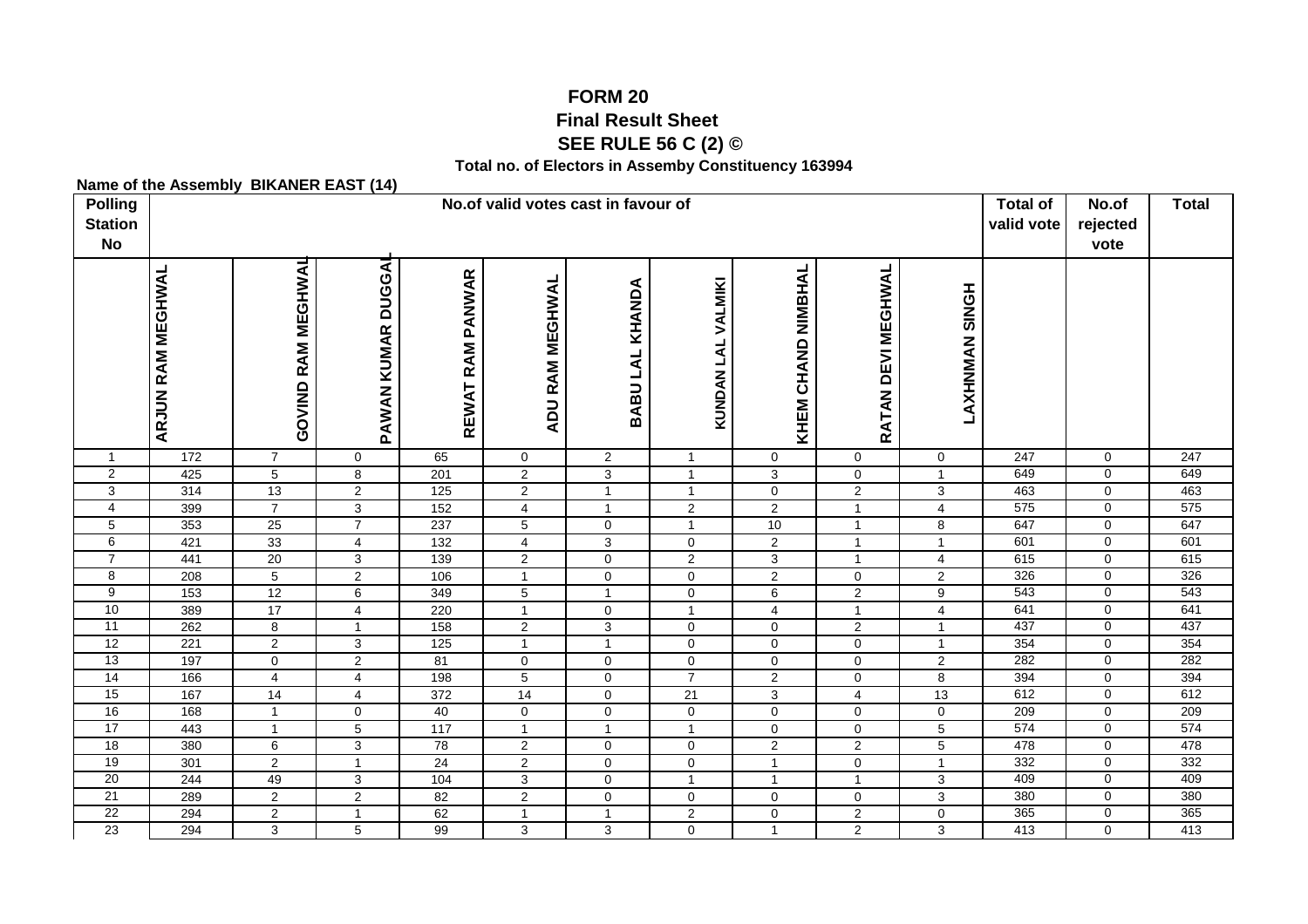## **FORM 20 Final Result Sheet SEE RULE 56 C (2) ©**

**Total no. of Electors in Assemby Constituency 163994**

|                                |                                     | Name of the Assembly BINANCR CAST (14) |                               |                         |                                  |                               |                                |                            |                            |                                |                  |                               |                  |
|--------------------------------|-------------------------------------|----------------------------------------|-------------------------------|-------------------------|----------------------------------|-------------------------------|--------------------------------|----------------------------|----------------------------|--------------------------------|------------------|-------------------------------|------------------|
| <b>Polling</b>                 | No.of valid votes cast in favour of |                                        |                               |                         |                                  |                               |                                |                            |                            |                                |                  | No.of                         | <b>Total</b>     |
| <b>Station</b>                 |                                     |                                        |                               |                         |                                  |                               |                                |                            |                            |                                |                  | rejected                      |                  |
| <b>No</b>                      |                                     |                                        |                               |                         |                                  |                               |                                |                            |                            |                                |                  | vote                          |                  |
|                                |                                     |                                        |                               |                         |                                  |                               |                                |                            |                            |                                |                  |                               |                  |
|                                |                                     |                                        |                               |                         |                                  |                               |                                | NIMBHAL                    |                            |                                |                  |                               |                  |
|                                |                                     |                                        |                               |                         |                                  |                               |                                |                            |                            |                                |                  |                               |                  |
|                                |                                     |                                        |                               |                         |                                  |                               |                                |                            |                            |                                |                  |                               |                  |
|                                |                                     |                                        |                               |                         |                                  |                               |                                |                            |                            |                                |                  |                               |                  |
|                                |                                     |                                        |                               |                         |                                  |                               |                                |                            |                            |                                |                  |                               |                  |
|                                |                                     |                                        |                               |                         | ADU RAM MEGHWAL                  | BABU LAL KHANDA               | KUNDAN LAL VALMIKI             |                            |                            | <b>LONIS NANIXHY</b>           |                  |                               |                  |
|                                |                                     |                                        |                               |                         |                                  |                               |                                |                            |                            |                                |                  |                               |                  |
|                                |                                     |                                        |                               |                         |                                  |                               |                                |                            |                            |                                |                  |                               |                  |
|                                | <b>ARJUN RAM MEGHWAL</b>            | GOVIND RAM MEGHWAL                     | PAWAN KUMAR DUGGAI            | REWAT RAM PANWAR        |                                  |                               |                                | KHEM CHAND                 | RATAN DEVI MEGHWAL         |                                |                  |                               |                  |
|                                |                                     |                                        |                               |                         |                                  |                               |                                |                            |                            |                                | $\overline{247}$ |                               | $\overline{247}$ |
| $\mathbf{1}$<br>$\overline{2}$ | 172                                 | $\overline{7}$                         | $\mathbf 0$                   | 65                      | $\mathbf 0$                      | $\overline{2}$                | $\mathbf{1}$<br>$\overline{1}$ | $\mathbf 0$                | $\mathbf 0$<br>$\mathbf 0$ | $\mathbf 0$<br>$\mathbf{1}$    | 649              | $\mathbf 0$<br>$\mathbf 0$    | 649              |
| 3                              | 425<br>314                          | $5\phantom{.0}$<br>13                  | $\bf 8$<br>$\overline{2}$     | 201<br>125              | $\overline{2}$<br>$\overline{2}$ | 3<br>$\overline{1}$           | $\overline{1}$                 | 3<br>$\mathbf 0$           | $\overline{2}$             | $\overline{3}$                 | 463              | $\mathbf 0$                   | 463              |
| $\overline{\mathbf{4}}$        | 399                                 | $\overline{7}$                         | $\overline{3}$                | 152                     | $\overline{4}$                   | $\overline{1}$                | $\overline{2}$                 | $\overline{2}$             | $\overline{1}$             | $\overline{4}$                 | 575              | $\mathbf 0$                   | 575              |
| 5                              | 353                                 | 25                                     | $\overline{7}$                | 237                     | $\overline{5}$                   | $\mathsf 0$                   | $\overline{1}$                 | 10                         | $\overline{1}$             | $\overline{8}$                 | 647              | $\mathbf 0$                   | 647              |
| 6                              | 421                                 | 33                                     | $\overline{4}$                | 132                     | $\overline{4}$                   | $\mathbf{3}$                  | $\mathbf 0$                    | $\overline{2}$             | $\overline{1}$             | $\mathbf{1}$                   | 601              | $\Omega$                      | 601              |
| $\overline{7}$                 | 441                                 | 20                                     | $\overline{3}$                | 139                     | $\overline{2}$                   | $\mathbf 0$                   | $\overline{2}$                 | 3                          | $\overline{1}$             | $\overline{\mathbf{4}}$        | 615              | $\overline{0}$                | 615              |
| 8                              | 208                                 | $5\overline{)}$                        | $\overline{2}$                | 106                     | $\mathbf{1}$                     | $\mathsf 0$                   | $\mathsf{O}$                   | $\overline{2}$             | $\mathbf 0$                | $\overline{2}$                 | 326              | $\mathbf 0$                   | 326              |
| 9                              | 153                                 | 12                                     | 6                             | 349                     | 5                                | $\overline{1}$                | $\mathbf 0$                    | 6                          | $\overline{2}$             | $\overline{9}$                 | 543              | $\mathbf 0$                   | 543              |
| 10                             | 389                                 | $\overline{17}$                        | $\overline{\mathbf{4}}$       | 220                     | $\mathbf{1}$                     | $\mathbf 0$                   | $\mathbf{1}$                   | $\overline{4}$             | $\overline{1}$             | $\overline{4}$                 | 641              | $\mathbf 0$                   | 641              |
| 11                             | 262                                 | 8                                      | $\mathbf{1}$                  | 158                     | $\overline{2}$                   | $\mathbf{3}$                  | $\mathbf 0$                    | $\mathbf 0$                | 2                          | $\mathbf{1}$                   | 437              | $\mathbf 0$                   | 437              |
| 12                             | 221                                 | $\overline{2}$                         | 3                             | 125                     | $\mathbf{1}$                     | $\overline{1}$                | 0                              | 0                          | 0                          | $\mathbf{1}$                   | 354              | $\mathbf 0$                   | 354              |
| 13                             | 197                                 | $\mathbf 0$                            | $\overline{2}$                | 81                      | $\pmb{0}$                        | $\mathbf 0$                   | $\mathsf{O}$                   | $\mathbf 0$                | $\mathbf 0$                | $\overline{2}$                 | 282              | $\mathbf 0$                   | 282              |
| $\overline{14}$                | 166                                 | 4                                      | $\overline{4}$                | 198                     | $\overline{5}$                   | $\mathbf 0$                   | $\overline{7}$                 | $\overline{2}$             | $\mathbf 0$                | $\overline{8}$                 | 394              | $\mathbf 0$                   | 394              |
| 15<br>16                       | 167                                 | 14                                     | $\overline{4}$                | 372                     | 14                               | $\mathbf 0$                   | 21                             | 3                          | $\overline{4}$             | 13                             | 612<br>209       | $\overline{0}$<br>$\mathbf 0$ | 612<br>209       |
| 17                             | 168<br>443                          | $\mathbf{1}$<br>$\mathbf{1}$           | $\mathbf 0$<br>$\overline{5}$ | 40<br>$\frac{117}{117}$ | $\mathbf 0$<br>$\mathbf{1}$      | $\mathbf 0$<br>$\overline{1}$ | 0<br>$\mathbf{1}$              | $\mathbf 0$<br>$\mathbf 0$ | 0<br>$\mathbf 0$           | $\mathsf{O}$<br>$\overline{5}$ | 574              | $\mathbf 0$                   | 574              |
| 18                             | 380                                 | 6                                      | $\overline{3}$                | 78                      | $\overline{2}$                   | $\mathsf 0$                   | $\mathbf 0$                    | $\overline{2}$             | $\overline{2}$             | $\overline{5}$                 | 478              | $\mathbf 0$                   | 478              |
| 19                             | 301                                 | $\overline{2}$                         | $\mathbf{1}$                  | $\overline{24}$         | $\overline{2}$                   | $\mathbf 0$                   | $\mathbf 0$                    | $\mathbf{1}$               | $\mathbf 0$                | $\mathbf{1}$                   | 332              | $\mathbf 0$                   | 332              |
| 20                             | 244                                 | 49                                     | 3                             | 104                     | 3                                | $\mathsf 0$                   | $\mathbf{1}$                   | $\mathbf{1}$               | $\overline{1}$             | $\mathbf{3}$                   | 409              | $\mathbf 0$                   | 409              |
| 21                             | 289                                 | $\overline{2}$                         | $\overline{2}$                | 82                      | $\overline{2}$                   | $\mathbf 0$                   | $\mathbf 0$                    | $\mathbf 0$                | $\mathbf 0$                | $\mathbf{3}$                   | 380              | $\mathbf 0$                   | 380              |
| $\overline{22}$                | 294                                 | $\overline{2}$                         | $\mathbf{1}$                  | 62                      | $\mathbf{1}$                     | $\overline{1}$                | $\overline{2}$                 | $\mathsf{O}\xspace$        | $\overline{2}$             | $\mathsf{O}\xspace$            | 365              | $\overline{0}$                | 365              |
| 23                             | 294                                 | 3                                      | 5                             | 99                      | 3                                | 3                             | $\mathbf 0$                    | $\mathbf{1}$               | $\overline{2}$             | 3                              | 413              | $\Omega$                      | 413              |
|                                |                                     |                                        |                               |                         |                                  |                               |                                |                            |                            |                                |                  |                               |                  |

**Name of the Assembly BIKANER EAST (14)**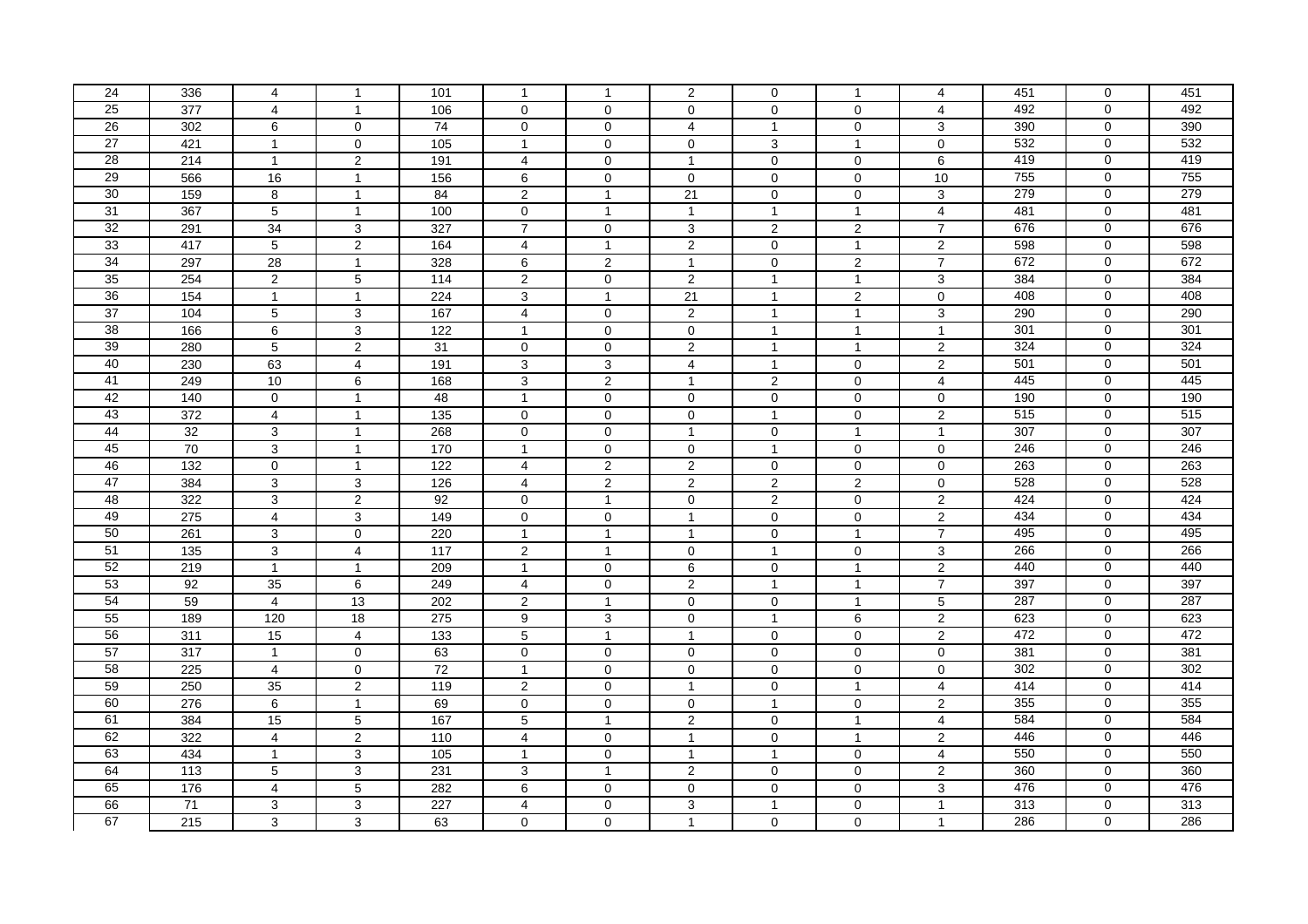| 24              | 336 | 4               | $\mathbf{1}$    | 101               | 1                   | $\mathbf{1}$        | $\overline{2}$          | $\mathbf 0$         | $\mathbf{1}$        | $\overline{4}$          | 451 | $\mathbf 0$    | 451 |
|-----------------|-----|-----------------|-----------------|-------------------|---------------------|---------------------|-------------------------|---------------------|---------------------|-------------------------|-----|----------------|-----|
| 25              | 377 | $\overline{4}$  | $\overline{1}$  | 106               | $\mathbf 0$         | $\mathbf 0$         | $\mathbf 0$             | $\mathbf 0$         | $\mathbf 0$         | $\overline{4}$          | 492 | $\Omega$       | 492 |
| 26              | 302 | 6               | $\Omega$        | $\overline{74}$   | $\mathbf{0}$        | $\Omega$            | $\overline{4}$          | $\mathbf{1}$        | $\Omega$            | 3                       | 390 | $\mathbf 0$    | 390 |
| 27              | 421 | $\mathbf{1}$    | $\mathbf 0$     | 105               | $\mathbf{1}$        | $\mathbf 0$         | $\mathbf 0$             | 3                   | $\overline{1}$      | $\mathbf 0$             | 532 | $\mathbf 0$    | 532 |
| 28              | 214 | $\mathbf{1}$    | $\overline{2}$  | 191               | $\overline{4}$      | $\mathsf{O}\xspace$ | $\overline{1}$          | $\mathsf{O}\xspace$ | $\mathbf 0$         | $\,6\,$                 | 419 | $\mathbf 0$    | 419 |
| 29              | 566 | 16              | $\mathbf{1}$    | 156               | 6                   | $\mathsf{O}\xspace$ | $\mathbf{0}$            | $\mathbf 0$         | $\mathbf 0$         | 10                      | 755 | $\mathbf 0$    | 755 |
| 30              | 159 | 8               | $\mathbf{1}$    | 84                | $\overline{2}$      | $\mathbf{1}$        | 21                      | $\mathbf 0$         | $\mathbf 0$         | 3                       | 279 | $\mathbf 0$    | 279 |
| $\overline{31}$ | 367 | 5               | $\mathbf{1}$    | 100               | $\mathbf 0$         | $\mathbf{1}$        | $\overline{1}$          | $\mathbf{1}$        | $\mathbf{1}$        | $\overline{4}$          | 481 | $\mathbf 0$    | 481 |
| 32              | 291 | 34              | 3               | 327               | $\overline{7}$      | $\mathbf 0$         | 3                       | 2                   | $\overline{2}$      | $\overline{7}$          | 676 | $\mathbf 0$    | 676 |
| 33              | 417 | $5\overline{)}$ | $\overline{2}$  | 164               | $\overline{4}$      | $\mathbf{1}$        | $\overline{c}$          | $\mathbf 0$         | $\mathbf{1}$        | $\overline{\mathbf{c}}$ | 598 | $\mathbf 0$    | 598 |
| 34              | 297 | 28              | $\mathbf{1}$    | 328               | 6                   | 2                   | $\overline{1}$          | $\mathbf 0$         | 2                   | $\overline{7}$          | 672 | $\mathbf 0$    | 672 |
| 35              | 254 | $\overline{2}$  | $5\phantom{.0}$ | 114               | $\overline{2}$      | $\mathbf 0$         | 2                       | $\mathbf{1}$        | $\mathbf{1}$        | $\mathbf{3}$            | 384 | $\mathbf 0$    | 384 |
| 36              | 154 | $\mathbf{1}$    | $\mathbf{1}$    | 224               | 3                   | $\mathbf{1}$        | 21                      | $\mathbf{1}$        | $\overline{c}$      | $\mathbf 0$             | 408 | $\mathbf 0$    | 408 |
| $\overline{37}$ | 104 | 5               | 3               | 167               | $\overline{4}$      | $\mathbf 0$         | 2                       | $\mathbf{1}$        | $\mathbf{1}$        | 3                       | 290 | $\mathbf 0$    | 290 |
| 38              | 166 | 6               | $\overline{3}$  | 122               | $\mathbf{1}$        | $\overline{0}$      | $\mathbf 0$             | $\mathbf{1}$        | $\mathbf{1}$        | $\overline{1}$          | 301 | $\overline{0}$ | 301 |
| 39              | 280 | 5               | $\overline{2}$  | 31                | $\mathbf 0$         | $\mathsf{O}\xspace$ | $\overline{2}$          | $\mathbf{1}$        | $\mathbf{1}$        | $\overline{2}$          | 324 | $\mathbf 0$    | 324 |
| 40              | 230 | 63              | $\overline{4}$  | 191               | 3                   | 3                   | $\overline{4}$          | $\mathbf{1}$        | $\mathbf 0$         | $\overline{2}$          | 501 | $\mathbf 0$    | 501 |
| 41              | 249 | 10              | 6               | 168               | 3                   | $\overline{2}$      | $\overline{1}$          | $\overline{2}$      | $\Omega$            | $\overline{4}$          | 445 | $\mathbf 0$    | 445 |
| 42              | 140 | $\mathbf{0}$    | $\mathbf{1}$    | 48                | $\mathbf{1}$        | $\mathbf 0$         | $\mathbf 0$             | $\mathbf 0$         | $\mathbf 0$         | $\mathbf 0$             | 190 | $\mathbf 0$    | 190 |
| 43              | 372 | $\overline{4}$  | $\mathbf{1}$    | 135               | $\mathsf{O}\xspace$ | $\mathbf 0$         | $\mathbf 0$             | $\mathbf{1}$        | $\mathbf 0$         | $\sqrt{2}$              | 515 | $\mathbf 0$    | 515 |
| 44              | 32  | $\mathbf{3}$    | $\mathbf{1}$    | 268               | $\mathbf 0$         | $\mathbf 0$         | $\overline{1}$          | $\mathbf 0$         | $\overline{1}$      | $\overline{1}$          | 307 | $\mathbf{0}$   | 307 |
| 45              | 70  | 3               | $\mathbf{1}$    | 170               | $\mathbf{1}$        | $\mathbf 0$         | $\mathbf 0$             | $\mathbf{1}$        | $\mathbf 0$         | $\mathbf 0$             | 246 | $\mathbf 0$    | 246 |
| 46              | 132 | $\mathbf 0$     | $\mathbf{1}$    | 122               | $\overline{4}$      | $\overline{2}$      | 2                       | $\mathbf 0$         | 0                   | $\mathbf 0$             | 263 | $\mathbf 0$    | 263 |
| 47              | 384 | $\overline{3}$  | $\overline{3}$  | 126               | $\overline{4}$      | $\overline{2}$      | $\overline{2}$          | $\overline{2}$      | $\overline{2}$      | $\mathbf 0$             | 528 | $\Omega$       | 528 |
| 48              | 322 | 3               | $\overline{2}$  | 92                | $\mathbf 0$         | $\mathbf{1}$        | $\mathbf 0$             | $\overline{2}$      | $\mathbf 0$         | $\overline{2}$          | 424 | $\mathbf 0$    | 424 |
| 49              | 275 | $\overline{4}$  | 3               | 149               | $\pmb{0}$           | 0                   | $\overline{1}$          | $\pmb{0}$           | 0                   | $\overline{c}$          | 434 | $\mathbf 0$    | 434 |
| 50              | 261 | 3               | $\mathbf 0$     | 220               | $\mathbf{1}$        | $\mathbf{1}$        | $\overline{\mathbf{1}}$ | $\mathbf 0$         | $\mathbf{1}$        | $\overline{7}$          | 495 | $\mathbf 0$    | 495 |
| 51              | 135 | 3               | $\overline{4}$  | $\frac{117}{117}$ | $\overline{2}$      | $\overline{1}$      | $\mathbf 0$             | $\mathbf{1}$        | $\mathbf 0$         | $\mathbf{3}$            | 266 | $\mathbf 0$    | 266 |
| $\overline{52}$ | 219 | $\mathbf{1}$    | $\mathbf{1}$    | 209               | $\mathbf{1}$        | $\mathbf 0$         | 6                       | $\mathbf 0$         | $\mathbf{1}$        | $\sqrt{2}$              | 440 | $\mathbf 0$    | 440 |
| 53              | 92  | 35              | 6               | 249               | $\overline{4}$      | $\mathbf 0$         | 2                       | $\mathbf{1}$        | $\mathbf{1}$        | $\overline{7}$          | 397 | $\mathbf 0$    | 397 |
| 54              | 59  | $\overline{4}$  | 13              | 202               | $\mathbf{2}$        | $\mathbf{1}$        | $\mathbf 0$             | $\mathbf 0$         | $\mathbf{1}$        | $\overline{5}$          | 287 | $\overline{0}$ | 287 |
| 55              | 189 | 120             | 18              | 275               | 9                   | 3                   | 0                       | $\mathbf{1}$        | 6                   | $\boldsymbol{2}$        | 623 | $\mathbf 0$    | 623 |
| 56              | 311 | 15              | $\overline{4}$  | 133               | 5                   | $\mathbf{1}$        | $\overline{1}$          | $\mathbf 0$         | $\mathbf 0$         | $\overline{2}$          | 472 | $\mathbf 0$    | 472 |
| 57              | 317 | $\mathbf{1}$    | $\mathbf 0$     | 63                | $\mathbf{0}$        | $\mathbf 0$         | $\mathbf 0$             | $\mathbf 0$         | $\mathbf{0}$        | $\mathbf 0$             | 381 | $\mathbf 0$    | 381 |
| 58              | 225 | $\overline{4}$  | $\mathbf 0$     | $\overline{72}$   | $\mathbf{1}$        | $\mathbf 0$         | $\mathbf 0$             | $\mathbf 0$         | $\mathbf 0$         | $\mathbf 0$             | 302 | $\mathbf 0$    | 302 |
| 59              | 250 | $\overline{35}$ | $\overline{2}$  | 119               | $\overline{2}$      | $\mathbf 0$         | $\overline{1}$          | $\mathsf{O}\xspace$ | $\mathbf{1}$        | $\overline{4}$          | 414 | $\mathbf 0$    | 414 |
| 60              | 276 | 6               | $\mathbf{1}$    | 69                | $\mathbf 0$         | $\mathsf{O}\xspace$ | $\mathbf 0$             | $\mathbf{1}$        | $\mathbf 0$         | $\overline{c}$          | 355 | $\mathbf 0$    | 355 |
| 61              | 384 | 15              | 5               | 167               | $5\phantom{.0}$     | $\mathbf{1}$        | $\overline{2}$          | $\mathbf 0$         | $\mathbf{1}$        | $\overline{4}$          | 584 | $\mathbf 0$    | 584 |
| 62              | 322 | $\overline{4}$  | $\overline{2}$  | 110               | $\overline{4}$      | $\mathbf 0$         | $\overline{1}$          | $\mathbf 0$         | $\mathbf{1}$        | $\overline{2}$          | 446 | $\mathbf 0$    | 446 |
| 63              | 434 | $\mathbf{1}$    | 3               | 105               | $\mathbf{1}$        | $\mathbf 0$         | $\overline{1}$          | $\mathbf{1}$        | $\mathbf 0$         | $\overline{4}$          | 550 | $\mathbf 0$    | 550 |
| 64              | 113 | 5               | 3               | 231               | 3                   | $\mathbf{1}$        | $\overline{2}$          | $\mathbf 0$         | $\mathsf{O}\xspace$ | $\overline{2}$          | 360 | $\mathbf 0$    | 360 |
| 65              | 176 | 4               | 5               | 282               | 6                   | 0                   | 0                       | $\mathbf 0$         | 0                   | 3                       | 476 | $\mathbf 0$    | 476 |
| 66              | 71  | 3               | 3               | 227               | $\overline{4}$      | $\mathbf 0$         | 3                       | $\mathbf{1}$        | $\mathbf 0$         | $\overline{1}$          | 313 | $\mathbf 0$    | 313 |
| 67              | 215 | 3               | 3               | 63                | $\Omega$            | $\Omega$            | $\overline{1}$          | $\mathbf 0$         | $\Omega$            | $\overline{1}$          | 286 | $\mathbf 0$    | 286 |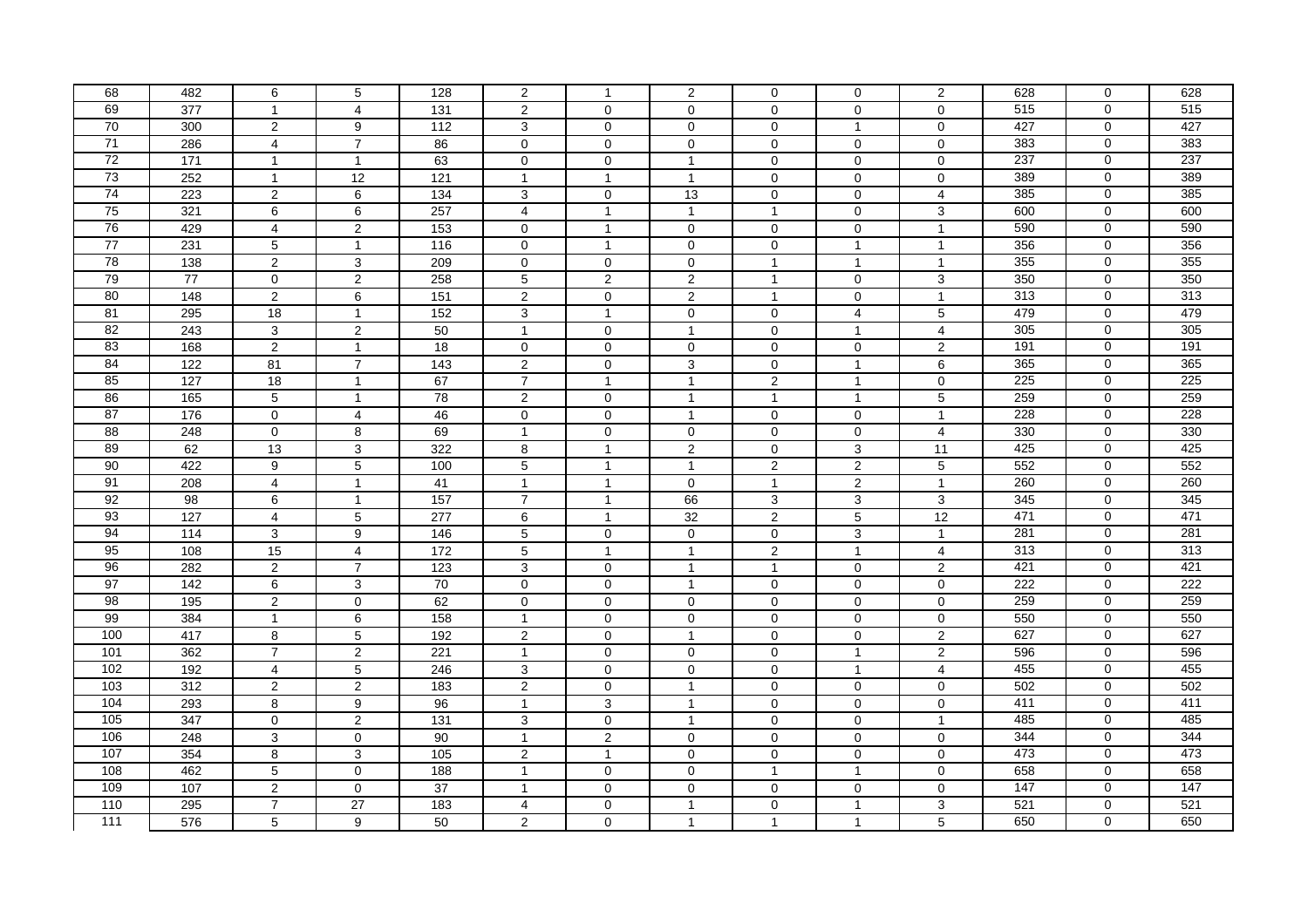| 68              | 482             | 6              | $5\phantom{.0}$     | 128              | $\overline{2}$  | $\mathbf{1}$        | $\overline{2}$          | $\mathsf{O}$        | $\mathbf 0$    | $\overline{2}$          | 628 | $\mathbf 0$    | 628 |
|-----------------|-----------------|----------------|---------------------|------------------|-----------------|---------------------|-------------------------|---------------------|----------------|-------------------------|-----|----------------|-----|
| 69              | 377             | $\mathbf{1}$   | $\overline{4}$      | 131              | $\overline{2}$  | $\Omega$            | $\mathbf 0$             | $\Omega$            | $\mathbf 0$    | $\mathbf 0$             | 515 | $\mathbf{0}$   | 515 |
| 70              | 300             | $\overline{2}$ | 9                   | 112              | 3               | $\mathbf 0$         | $\mathbf 0$             | $\mathbf 0$         | $\mathbf{1}$   | $\mathbf 0$             | 427 | $\mathbf 0$    | 427 |
| 71              | 286             | $\overline{4}$ | $\overline{7}$      | 86               | $\mathbf 0$     | $\mathbf 0$         | $\mathbf 0$             | $\mathbf 0$         | $\mathbf 0$    | $\mathbf 0$             | 383 | $\mathbf 0$    | 383 |
| 72              | 171             | $\mathbf{1}$   | $\mathbf{1}$        | 63               | $\mathbf 0$     | $\mathbf 0$         | $\overline{1}$          | $\mathbf 0$         | $\Omega$       | $\mathbf 0$             | 237 | $\Omega$       | 237 |
| 73              | 252             | $\mathbf{1}$   | $\overline{12}$     | $\overline{121}$ | $\mathbf{1}$    | $\mathbf{1}$        | $\overline{1}$          | $\mathbf 0$         | $\mathbf{0}$   | $\mathbf 0$             | 389 | $\mathbf 0$    | 389 |
| 74              | 223             | $\overline{2}$ | 6                   | 134              | 3               | $\mathbf 0$         | 13                      | $\pmb{0}$           | $\mathbf 0$    | 4                       | 385 | $\mathbf 0$    | 385 |
| 75              | 321             | 6              | 6                   | 257              | $\overline{4}$  | $\mathbf{1}$        | $\overline{1}$          | $\mathbf{1}$        | $\mathbf 0$    | 3                       | 600 | $\mathbf 0$    | 600 |
| 76              | 429             | $\overline{4}$ | $\overline{2}$      | 153              | $\mathbf 0$     | $\mathbf{1}$        | $\mathbf 0$             | $\mathbf 0$         | $\mathbf 0$    | $\overline{1}$          | 590 | $\mathbf 0$    | 590 |
| $\overline{77}$ | 231             | $\overline{5}$ | $\mathbf{1}$        | 116              | $\mathbf 0$     | $\mathbf{1}$        | $\mathbf 0$             | $\mathbf 0$         | $\mathbf{1}$   | $\overline{1}$          | 356 | $\mathbf 0$    | 356 |
| 78              | 138             | $\overline{2}$ | 3                   | 209              | $\mathbf 0$     | $\mathbf 0$         | $\mathbf 0$             | $\mathbf{1}$        | $\mathbf{1}$   | $\overline{1}$          | 355 | $\mathbf 0$    | 355 |
| 79              | 77              | $\mathbf{0}$   | $\overline{2}$      | 258              | $\overline{5}$  | $\overline{2}$      | $\overline{2}$          | $\mathbf{1}$        | $\mathbf{0}$   | $\mathbf{3}$            | 350 | $\mathbf 0$    | 350 |
| 80              | 148             | $\overline{2}$ | 6                   | $\overline{151}$ | $\mathbf{2}$    | $\mathsf{O}\xspace$ | $\sqrt{2}$              | $\mathbf{1}$        | $\mathbf 0$    | $\overline{1}$          | 313 | $\mathbf 0$    | 313 |
| 81              | 295             | 18             | $\mathbf{1}$        | $\frac{152}{ }$  | 3               | $\mathbf{1}$        | $\mathbf 0$             | $\mathbf 0$         | $\overline{4}$ | 5                       | 479 | $\mathbf 0$    | 479 |
| 82              | 243             | 3              | $\overline{2}$      | 50               | $\mathbf{1}$    | $\mathbf 0$         | $\overline{1}$          | $\mathbf 0$         | $\mathbf{1}$   | $\overline{4}$          | 305 | $\mathbf 0$    | 305 |
| 83              | 168             | $\overline{2}$ | $\mathbf{1}$        | 18               | $\mathsf 0$     | $\mathbf 0$         | $\mathbf 0$             | $\mathbf 0$         | $\mathbf 0$    | $\overline{2}$          | 191 | $\mathbf 0$    | 191 |
| 84              | 122             | 81             | $\overline{7}$      | 143              | $\mathbf{2}$    | $\mathbf 0$         | 3                       | $\mathbf 0$         | $\mathbf{1}$   | 6                       | 365 | $\mathbf 0$    | 365 |
| 85              | 127             | 18             | $\mathbf{1}$        | 67               | $\overline{7}$  | $\mathbf{1}$        | $\overline{1}$          | $\overline{2}$      | $\mathbf{1}$   | $\mathbf 0$             | 225 | $\mathbf 0$    | 225 |
| 86              | 165             | 5              | $\mathbf{1}$        | 78               | $\overline{2}$  | $\mathbf 0$         | $\overline{1}$          | $\mathbf{1}$        | $\mathbf{1}$   | 5                       | 259 | $\mathbf 0$    | 259 |
| 87              | 176             | $\mathbf 0$    | $\overline{4}$      | 46               | $\mathbf 0$     | $\mathbf 0$         | $\overline{1}$          | $\mathbf 0$         | $\mathbf 0$    | $\overline{1}$          | 228 | $\mathbf 0$    | 228 |
| $\overline{88}$ | 248             | $\Omega$       | 8                   | 69               | $\mathbf{1}$    | $\mathbf 0$         | $\Omega$                | $\Omega$            | $\Omega$       | $\overline{4}$          | 330 | $\mathbf 0$    | 330 |
| 89              | 62              | 13             | 3                   | 322              | 8               | $\mathbf{1}$        | $\overline{c}$          | $\mathbf 0$         | 3              | 11                      | 425 | $\mathbf 0$    | 425 |
| 90              | 422             | 9              | $\overline{5}$      | 100              | $5\phantom{.0}$ | $\mathbf{1}$        | $\overline{1}$          | $\overline{2}$      | $\overline{c}$ | $\overline{5}$          | 552 | $\mathbf 0$    | 552 |
| 91              | 208             | $\overline{4}$ | $\mathbf{1}$        | 41               | $\mathbf{1}$    | $\mathbf{1}$        | $\mathbf 0$             | $\mathbf{1}$        | $\overline{2}$ | $\overline{1}$          | 260 | $\mathbf 0$    | 260 |
| 92              | 98              | 6              | $\mathbf{1}$        | 157              | $\overline{7}$  | $\mathbf{1}$        | 66                      | 3                   | 3              | 3                       | 345 | $\mathbf 0$    | 345 |
| 93              | 127             | $\overline{4}$ | 5                   | 277              | 6               | $\mathbf{1}$        | 32                      | $\overline{2}$      | 5              | 12                      | 471 | $\mathbf 0$    | 471 |
| 94              | 114             | $\mathbf{3}$   | 9                   | 146              | $5\,$           | $\mathbf 0$         | $\mathbf 0$             | $\mathbf 0$         | 3              | $\overline{1}$          | 281 | $\mathbf 0$    | 281 |
| 95              | 108             | 15             | $\overline{4}$      | $\frac{1}{172}$  | $5\phantom{.0}$ | $\mathbf{1}$        | $\overline{1}$          | $\overline{2}$      | $\mathbf{1}$   | $\overline{4}$          | 313 | $\mathbf 0$    | 313 |
| 96              | 282             | $\overline{2}$ | $\overline{7}$      | $\overline{123}$ | $\overline{3}$  | $\mathbf 0$         | $\overline{1}$          | $\mathbf{1}$        | $\mathbf 0$    | $\overline{c}$          | 421 | $\mathbf 0$    | 421 |
| 97              | $\frac{1}{142}$ | 6              | 3                   | 70               | $\mathbf 0$     | $\mathbf 0$         | $\overline{\mathbf{1}}$ | $\mathbf 0$         | $\mathbf 0$    | $\mathbf 0$             | 222 | $\mathbf 0$    | 222 |
| $\overline{98}$ | 195             | $\overline{2}$ | $\mathbf 0$         | 62               | $\mathbf{0}$    | $\mathbf 0$         | $\mathbf 0$             | $\mathbf 0$         | $\mathbf 0$    | $\mathbf 0$             | 259 | $\mathbf 0$    | 259 |
| 99              | 384             | $\mathbf{1}$   | 6                   | 158              | $\mathbf{1}$    | $\mathbf 0$         | $\mathbf 0$             | $\mathbf 0$         | $\mathbf 0$    | $\mathbf 0$             | 550 | $\mathbf 0$    | 550 |
| 100             | 417             | 8              | $\overline{5}$      | 192              | $\overline{2}$  | $\mathbf 0$         | $\overline{\mathbf{1}}$ | $\mathbf 0$         | $\mathbf 0$    | $\overline{2}$          | 627 | $\overline{0}$ | 627 |
| 101             | 362             | $\overline{7}$ | $\overline{2}$      | $\overline{221}$ | $\mathbf{1}$    | $\mathsf{O}\xspace$ | $\mathbf 0$             | $\pmb{0}$           | $\mathbf{1}$   | $\overline{c}$          | 596 | $\mathbf 0$    | 596 |
| 102             | 192             | $\overline{4}$ | $5\phantom{.0}$     | 246              | $\mathbf{3}$    | $\mathsf{O}\xspace$ | $\mathbf 0$             | $\mathsf{O}\xspace$ | $\mathbf{1}$   | $\overline{\mathbf{4}}$ | 455 | $\mathbf 0$    | 455 |
| 103             | 312             | 2              | 2                   | 183              | 2               | $\mathbf 0$         | $\overline{1}$          | $\mathbf 0$         | $\mathbf 0$    | $\mathbf 0$             | 502 | $\mathbf 0$    | 502 |
| 104             | 293             | 8              | $\boldsymbol{9}$    | 96               | $\mathbf{1}$    | 3                   | $\overline{1}$          | $\mathbf 0$         | $\mathbf 0$    | $\mathbf 0$             | 411 | $\mathbf 0$    | 411 |
| 105             | 347             | $\mathbf 0$    | $\overline{2}$      | 131              | 3               | $\mathbf 0$         | $\overline{1}$          | $\mathbf 0$         | $\mathbf 0$    | $\overline{1}$          | 485 | $\mathbf 0$    | 485 |
| 106             | 248             | 3              | $\mathbf 0$         | 90               | $\mathbf{1}$    | $\overline{c}$      | $\mathbf 0$             | $\mathbf 0$         | $\mathbf 0$    | $\mathbf 0$             | 344 | $\mathbf 0$    | 344 |
| 107             | 354             | $\overline{8}$ | $\overline{3}$      | 105              | $\overline{2}$  | $\mathbf{1}$        | $\mathbf 0$             | $\mathbf 0$         | $\mathbf 0$    | $\mathbf 0$             | 473 | $\overline{0}$ | 473 |
| 108             | 462             | $\overline{5}$ | $\mathsf{O}\xspace$ | 188              | $\mathbf{1}$    | $\mathsf{O}\xspace$ | $\mathbf{0}$            | $\mathbf{1}$        | $\mathbf{1}$   | $\mathbf{0}$            | 658 | $\mathbf 0$    | 658 |
| 109             | 107             | $\overline{c}$ | $\mathbf 0$         | $\overline{37}$  | $\mathbf{1}$    | $\mathbf 0$         | $\mathbf 0$             | $\mathbf 0$         | 0              | $\mathbf 0$             | 147 | $\mathbf 0$    | 147 |
| 110             | 295             | $\overline{7}$ | 27                  | 183              | $\overline{4}$  | $\mathbf 0$         | $\overline{1}$          | $\mathbf 0$         | $\overline{1}$ | 3                       | 521 | $\mathbf 0$    | 521 |
| 111             | 576             | 5              | 9                   | 50               | $\overline{2}$  | $\Omega$            | $\overline{1}$          | $\mathbf{1}$        | $\mathbf{1}$   | 5                       | 650 | $\mathbf 0$    | 650 |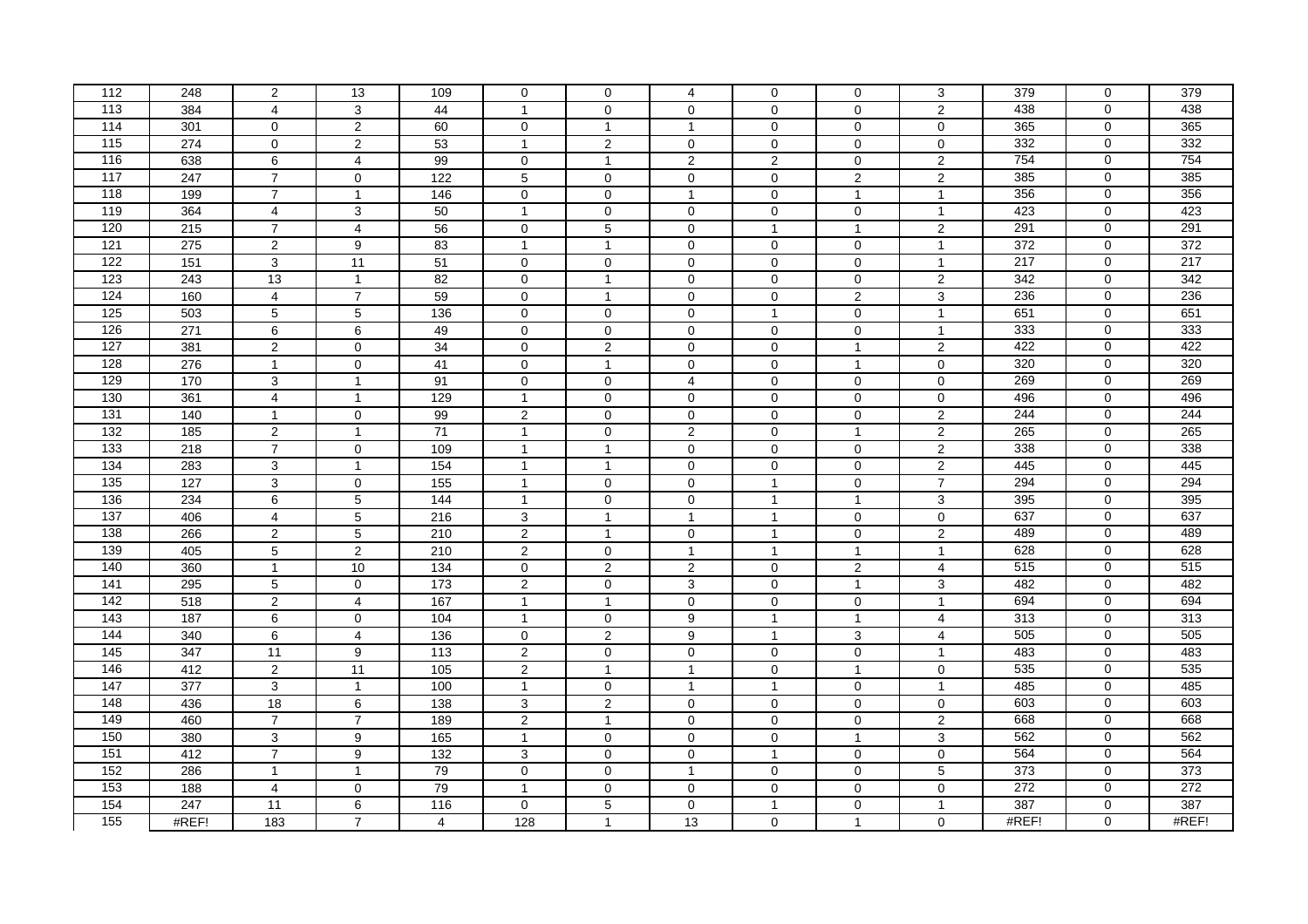| 112              | 248              | $\overline{2}$ | 13                  | 109               | $\mathbf 0$         | $\mathbf 0$         | $\overline{4}$ | $\mathbf 0$         | $\mathbf 0$         | 3                         | 379   | $\mathbf 0$    | 379              |
|------------------|------------------|----------------|---------------------|-------------------|---------------------|---------------------|----------------|---------------------|---------------------|---------------------------|-------|----------------|------------------|
| 113              | 384              | $\overline{4}$ | 3                   | 44                | $\mathbf{1}$        | $\mathbf 0$         | $\mathbf 0$    | $\Omega$            | $\mathbf 0$         | $\overline{2}$            | 438   | $\mathbf 0$    | 438              |
| 114              | 301              | $\mathbf 0$    | $\overline{2}$      | 60                | $\mathbf 0$         | $\mathbf{1}$        | $\overline{1}$ | $\mathsf{O}$        | $\mathbf 0$         | $\mathbf 0$               | 365   | $\mathbf 0$    | 365              |
| 115              | 274              | $\mathbf 0$    | 2                   | 53                | $\mathbf{1}$        | $\overline{2}$      | $\mathbf 0$    | $\mathbf 0$         | $\mathbf 0$         | $\mathbf 0$               | 332   | $\mathbf 0$    | 332              |
| 116              | 638              | 6              | $\overline{4}$      | 99                | $\mathbf 0$         | $\mathbf{1}$        | $\sqrt{2}$     | $\sqrt{2}$          | $\mathbf 0$         | $\sqrt{2}$                | 754   | $\Omega$       | 754              |
| 117              | 247              | $\overline{7}$ | $\mathsf{O}\xspace$ | 122               | $\overline{5}$      | $\mathbf{0}$        | $\mathbf 0$    | $\mathbf 0$         | $\overline{2}$      | $\overline{2}$            | 385   | $\mathbf 0$    | 385              |
| 118              | 199              | $\overline{7}$ | $\mathbf{1}$        | 146               | $\pmb{0}$           | $\mathbf 0$         | $\overline{1}$ | $\pmb{0}$           | $\mathbf{1}$        | $\overline{1}$            | 356   | $\mathbf 0$    | 356              |
| 119              | 364              | $\overline{4}$ | 3                   | 50                | $\mathbf{1}$        | $\mathbf 0$         | $\mathbf 0$    | $\mathbf 0$         | $\mathbf 0$         | $\overline{1}$            | 423   | $\mathbf 0$    | 423              |
| 120              | 215              | $\overline{7}$ | $\overline{4}$      | 56                | $\mathbf 0$         | 5                   | $\mathbf 0$    | $\mathbf{1}$        | $\mathbf{1}$        | $\overline{c}$            | 291   | $\mathbf 0$    | 291              |
| 121              | 275              | $\overline{2}$ | 9                   | 83                | $\mathbf{1}$        | $\mathbf{1}$        | $\mathbf 0$    | $\mathbf 0$         | $\mathbf 0$         | $\overline{1}$            | 372   | $\mathbf 0$    | $\overline{372}$ |
| 122              | $\overline{151}$ | 3              | $\overline{11}$     | $\overline{51}$   | $\mathbf 0$         | $\mathbf 0$         | $\mathbf 0$    | $\mathbf 0$         | $\mathbf 0$         | $\overline{1}$            | 217   | $\mathbf 0$    | 217              |
| 123              | 243              | 13             | $\mathbf{1}$        | 82                | $\mathbf{0}$        | $\mathbf{1}$        | $\mathbf 0$    | $\mathbf 0$         | $\mathsf{O}\xspace$ | $\overline{2}$            | 342   | $\mathbf 0$    | 342              |
| 124              | 160              | $\overline{4}$ | $\overline{7}$      | 59                | $\pmb{0}$           | $\mathbf{1}$        | $\mathbf 0$    | $\pmb{0}$           | $\overline{2}$      | $\ensuremath{\mathsf{3}}$ | 236   | $\mathbf 0$    | 236              |
| 125              | 503              | 5              | $5\phantom{.0}$     | 136               | $\mathbf 0$         | $\mathbf 0$         | $\mathbf 0$    | $\mathbf{1}$        | $\mathbf 0$         | $\overline{1}$            | 651   | $\mathbf 0$    | 651              |
| 126              | 271              | 6              | $\,6\,$             | 49                | $\mathbf 0$         | $\mathbf 0$         | $\mathbf 0$    | $\mathbf 0$         | $\mathbf 0$         | $\overline{1}$            | 333   | $\mathbf 0$    | 333              |
| 127              | 381              | $\overline{2}$ | $\mathbf 0$         | $\overline{34}$   | $\mathbf 0$         | $\overline{2}$      | $\mathbf 0$    | $\mathbf 0$         | $\mathbf{1}$        | $\overline{2}$            | 422   | $\mathbf 0$    | 422              |
| 128              | 276              | $\mathbf{1}$   | $\mathbf 0$         | 41                | $\mathbf 0$         | $\mathbf{1}$        | $\mathbf 0$    | $\mathbf 0$         | $\mathbf{1}$        | $\mathbf 0$               | 320   | $\mathbf 0$    | 320              |
| 129              | 170              | $\overline{3}$ | $\overline{1}$      | 91                | $\mathbf 0$         | $\overline{0}$      | $\overline{4}$ | $\mathbf 0$         | $\mathbf 0$         | $\mathbf 0$               | 269   | $\mathbf 0$    | 269              |
| 130              | 361              | $\overline{4}$ | $\mathbf{1}$        | 129               | $\mathbf{1}$        | $\mathbf 0$         | $\mathbf 0$    | $\mathbf 0$         | $\mathbf 0$         | 0                         | 496   | $\mathbf 0$    | 496              |
| $\overline{131}$ | 140              | $\mathbf{1}$   | $\mathbf 0$         | 99                | $\overline{2}$      | $\mathbf 0$         | $\mathbf 0$    | $\mathbf 0$         | $\mathbf 0$         | $\overline{2}$            | 244   | $\mathbf 0$    | 244              |
| 132              | 185              | $\overline{2}$ | $\overline{1}$      | $\overline{71}$   | $\mathbf{1}$        | $\mathbf 0$         | $\overline{2}$ | $\Omega$            | $\overline{1}$      | $\overline{2}$            | 265   | $\mathbf 0$    | 265              |
| $\overline{133}$ | 218              | $\overline{7}$ | $\mathbf 0$         | 109               | $\mathbf{1}$        | $\mathbf{1}$        | $\mathbf 0$    | $\mathsf{O}\xspace$ | $\mathbf 0$         | $\overline{\mathbf{c}}$   | 338   | $\mathbf 0$    | 338              |
| 134              | 283              | 3              | $\mathbf{1}$        | 154               | $\mathbf{1}$        | $\mathbf{1}$        | $\mathbf 0$    | $\pmb{0}$           | $\mathbf 0$         | $\overline{2}$            | 445   | $\mathbf 0$    | 445              |
| 135              | 127              | $\overline{3}$ | $\mathsf{O}\xspace$ | 155               | $\mathbf{1}$        | $\mathbf{0}$        | $\mathbf 0$    | $\mathbf{1}$        | $\mathbf{0}$        | $\overline{7}$            | 294   | $\mathbf 0$    | 294              |
| 136              | 234              | 6              | $5\phantom{.0}$     | 144               | $\mathbf{1}$        | $\mathsf{O}\xspace$ | $\mathbf 0$    | $\mathbf{1}$        | $\mathbf{1}$        | 3                         | 395   | $\mathbf 0$    | 395              |
| 137              | 406              | 4              | $\,$ 5 $\,$         | 216               | 3                   | $\mathbf{1}$        | $\overline{1}$ | $\mathbf{1}$        | $\mathbf 0$         | $\mathbf 0$               | 637   | $\mathbf 0$    | 637              |
| 138              | 266              | $\overline{2}$ | $\sqrt{5}$          | 210               | $\overline{2}$      | $\overline{1}$      | $\mathbf 0$    | $\mathbf{1}$        | $\mathbf 0$         | $\overline{2}$            | 489   | $\mathbf 0$    | 489              |
| 139              | 405              | $\overline{5}$ | $\overline{2}$      | 210               | $\overline{2}$      | $\mathbf 0$         | $\overline{1}$ | $\mathbf{1}$        | $\mathbf{1}$        | $\overline{1}$            | 628   | $\mathbf 0$    | 628              |
| 140              | 360              | $\mathbf{1}$   | 10                  | $\frac{1}{34}$    | $\mathsf{O}\xspace$ | $\overline{2}$      | $\overline{2}$ | $\mathbf 0$         | $\overline{2}$      | $\overline{4}$            | 515   | $\mathbf 0$    | 515              |
| 141              | 295              | $\overline{5}$ | $\mathbf 0$         | $\frac{1}{173}$   | $\overline{2}$      | $\mathbf 0$         | 3              | $\mathbf 0$         | $\mathbf{1}$        | 3                         | 482   | $\mathbf 0$    | 482              |
| 142              | 518              | $\overline{2}$ | $\overline{4}$      | 167               | $\mathbf{1}$        | $\mathbf{1}$        | $\mathbf 0$    | $\mathbf 0$         | $\mathbf 0$         | $\overline{1}$            | 694   | $\mathbf 0$    | 694              |
| 143              | 187              | 6              | $\mathbf 0$         | 104               | $\mathbf{1}$        | 0                   | 9              | $\mathbf{1}$        | $\mathbf{1}$        | 4                         | 313   | $\mathbf 0$    | 313              |
| 144              | 340              | 6              | $\overline{4}$      | 136               | $\mathbf 0$         | $\overline{2}$      | 9              | $\mathbf{1}$        | 3                   | $\overline{4}$            | 505   | $\overline{0}$ | 505              |
| $\frac{145}{ }$  | 347              | 11             | $\boldsymbol{9}$    | $\frac{113}{113}$ | $\overline{2}$      | $\mathbf 0$         | $\mathbf 0$    | $\pmb{0}$           | $\mathsf{O}\xspace$ | $\overline{1}$            | 483   | $\mathbf 0$    | 483              |
| 146              | 412              | $\overline{2}$ | $\overline{11}$     | $\frac{105}{2}$   | $\overline{2}$      | $\mathbf{1}$        | $\overline{1}$ | $\pmb{0}$           | $\mathbf{1}$        | $\mathsf{O}\xspace$       | 535   | $\mathbf 0$    | 535              |
| 147              | 377              | 3              | $\mathbf{1}$        | 100               | $\mathbf{1}$        | $\mathbf 0$         | $\overline{1}$ | $\mathbf{1}$        | $\mathbf 0$         | $\overline{1}$            | 485   | $\mathbf 0$    | 485              |
| 148              | 436              | 18             | 6                   | 138               | 3                   | $\overline{2}$      | $\mathbf 0$    | $\mathbf 0$         | $\mathbf 0$         | $\mathbf 0$               | 603   | $\mathbf 0$    | 603              |
| 149              | 460              | $\overline{7}$ | $\overline{7}$      | 189               | $\overline{2}$      | $\mathbf{1}$        | $\mathbf 0$    | $\mathbf 0$         | $\mathbf 0$         | $\overline{2}$            | 668   | $\mathbf 0$    | 668              |
| 150              | 380              | 3              | 9                   | 165               | $\mathbf{1}$        | $\mathbf 0$         | $\mathbf 0$    | $\mathsf{O}\xspace$ | $\mathbf{1}$        | 3                         | 562   | $\mathbf 0$    | 562              |
| 151              | 412              | $\overline{7}$ | $\overline{9}$      | 132               | $\overline{3}$      | $\mathsf 0$         | $\mathbf 0$    | $\mathbf{1}$        | $\mathbf 0$         | $\pmb{0}$                 | 564   | $\overline{0}$ | 564              |
| 152              | 286              | $\mathbf{1}$   | $\mathbf{1}$        | 79                | $\mathsf{O}$        | $\mathsf{O}\xspace$ | $\overline{1}$ | $\mathsf{O}$        | $\mathsf{O}\xspace$ | $\overline{5}$            | 373   | $\mathbf 0$    | 373              |
| 153              | 188              | 4              | $\mathbf 0$         | 79                | $\mathbf{1}$        | 0                   | 0              | $\mathbf 0$         | $\mathbf 0$         | $\mathbf 0$               | 272   | $\mathbf 0$    | 272              |
| 154              | 247              | 11             | 6                   | 116               | $\mathbf 0$         | 5                   | $\mathbf 0$    | $\mathbf{1}$        | $\mathbf 0$         | $\overline{1}$            | 387   | $\mathbf 0$    | 387              |
| 155              | #REF!            | 183            | $\overline{7}$      | $\overline{4}$    | 128                 | $\mathbf{1}$        | 13             | $\mathbf 0$         | $\mathbf{1}$        | $\mathbf 0$               | #REF! | $\mathbf 0$    | #REF!            |